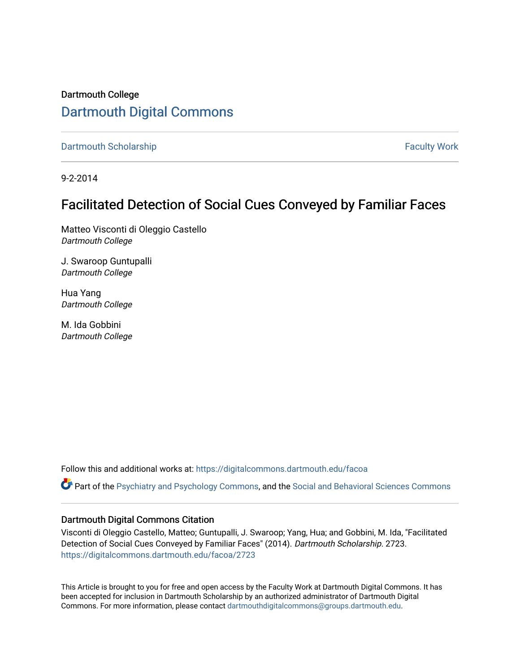Dartmouth College [Dartmouth Digital Commons](https://digitalcommons.dartmouth.edu/) 

[Dartmouth Scholarship](https://digitalcommons.dartmouth.edu/facoa) Faculty Work

9-2-2014

## Facilitated Detection of Social Cues Conveyed by Familiar Faces

Matteo Visconti di Oleggio Castello Dartmouth College

J. Swaroop Guntupalli Dartmouth College

Hua Yang Dartmouth College

M. Ida Gobbini Dartmouth College

Follow this and additional works at: [https://digitalcommons.dartmouth.edu/facoa](https://digitalcommons.dartmouth.edu/facoa?utm_source=digitalcommons.dartmouth.edu%2Ffacoa%2F2723&utm_medium=PDF&utm_campaign=PDFCoverPages)

Part of the [Psychiatry and Psychology Commons,](http://network.bepress.com/hgg/discipline/908?utm_source=digitalcommons.dartmouth.edu%2Ffacoa%2F2723&utm_medium=PDF&utm_campaign=PDFCoverPages) and the [Social and Behavioral Sciences Commons](http://network.bepress.com/hgg/discipline/316?utm_source=digitalcommons.dartmouth.edu%2Ffacoa%2F2723&utm_medium=PDF&utm_campaign=PDFCoverPages) 

## Dartmouth Digital Commons Citation

Visconti di Oleggio Castello, Matteo; Guntupalli, J. Swaroop; Yang, Hua; and Gobbini, M. Ida, "Facilitated Detection of Social Cues Conveyed by Familiar Faces" (2014). Dartmouth Scholarship. 2723. [https://digitalcommons.dartmouth.edu/facoa/2723](https://digitalcommons.dartmouth.edu/facoa/2723?utm_source=digitalcommons.dartmouth.edu%2Ffacoa%2F2723&utm_medium=PDF&utm_campaign=PDFCoverPages) 

This Article is brought to you for free and open access by the Faculty Work at Dartmouth Digital Commons. It has been accepted for inclusion in Dartmouth Scholarship by an authorized administrator of Dartmouth Digital Commons. For more information, please contact [dartmouthdigitalcommons@groups.dartmouth.edu](mailto:dartmouthdigitalcommons@groups.dartmouth.edu).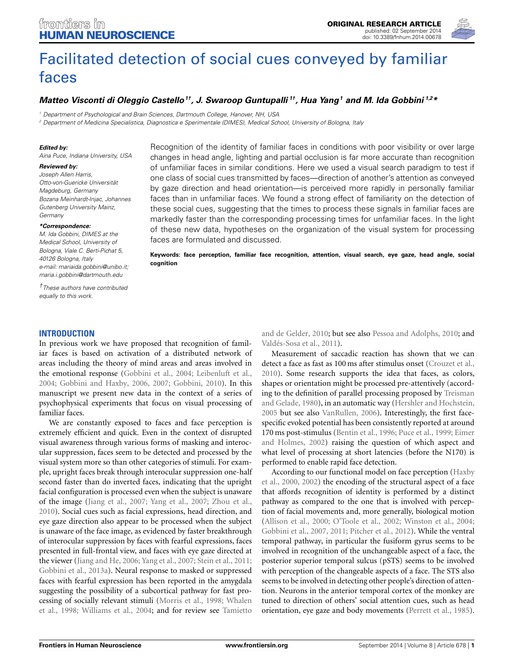

# [Facilitated detection of social cues conveyed by familiar](http://www.frontiersin.org/journal/10.3389/fnhum.2014.00678/abstract) faces

## *[Matteo Visconti di Oleggio Castello](http://community.frontiersin.org/people/u/165979)1†, [J. Swaroop Guntupalli](http://community.frontiersin.org/people/u/170574) 1†, [Hua Yang1](http://community.frontiersin.org/people/u/171088) and [M. Ida Gobbini](http://community.frontiersin.org/people/u/18379) 1,2\**

*<sup>1</sup> Department of Psychological and Brain Sciences, Dartmouth College, Hanover, NH, USA*

*<sup>2</sup> Department of Medicina Specialistica, Diagnostica e Sperimentale (DIMES), Medical School, University of Bologna, Italy*

#### *Edited by:*

*Aina Puce, Indiana University, USA*

#### *Reviewed by:*

*Joseph Allen Harris, Otto-von-Guericke Universität Magdeburg, Germany Bozana Meinhardt-Injac, Johannes Gutenberg University Mainz, Germany*

#### *\*Correspondence:*

*M. Ida Gobbini, DIMES at the Medical School, University of Bologna, Viale C. Berti-Pichat 5, 40126 Bologna, Italy e-mail: [mariaida.gobbini@unibo.it;](mailto:mariaida.gobbini@unibo.it) maria.i.gobbini@dartmouth.edu*

*†These authors have contributed equally to this work.*

Recognition of the identity of familiar faces in conditions with poor visibility or over large changes in head angle, lighting and partial occlusion is far more accurate than recognition of unfamiliar faces in similar conditions. Here we used a visual search paradigm to test if one class of social cues transmitted by faces—direction of another's attention as conveyed by gaze direction and head orientation—is perceived more rapidly in personally familiar faces than in unfamiliar faces. We found a strong effect of familiarity on the detection of these social cues, suggesting that the times to process these signals in familiar faces are markedly faster than the corresponding processing times for unfamiliar faces. In the light of these new data, hypotheses on the organization of the visual system for processing faces are formulated and discussed.

**Keywords: face perception, familiar face recognition, attention, visual search, eye gaze, head angle, social cognition**

## **INTRODUCTION**

In previous work we have proposed that recognition of familiar faces is based on activation of a distributed network of areas including the theory of mind areas and areas involved in the emotional response [\(Gobbini et al., 2004](#page-10-0); [Leibenluft et al.,](#page-10-1) [2004](#page-10-1); [Gobbini and Haxby](#page-10-2), [2006](#page-10-2), [2007](#page-10-3); [Gobbini, 2010\)](#page-10-4). In this manuscript we present new data in the context of a series of psychophysical experiments that focus on visual processing of familiar faces.

We are constantly exposed to faces and face perception is extremely efficient and quick. Even in the context of disrupted visual awareness through various forms of masking and interocular suppression, faces seem to be detected and processed by the visual system more so than other categories of stimuli. For example, upright faces break through interocular suppression one-half second faster than do inverted faces, indicating that the upright facial configuration is processed even when the subject is unaware of the image [\(Jiang et al.](#page-10-5), [2007;](#page-10-5) [Yang et al., 2007;](#page-11-0) [Zhou et al.,](#page-11-1) [2010](#page-11-1)). Social cues such as facial expressions, head direction, and eye gaze direction also appear to be processed when the subject is unaware of the face image, as evidenced by faster breakthrough of interocular suppression by faces with fearful expressions, faces presented in full-frontal view, and faces with eye gaze directed at the viewer [\(Jiang and He, 2006](#page-10-6); [Yang et al.](#page-11-0), [2007](#page-11-0); [Stein et al.](#page-11-2), [2011;](#page-11-2) [Gobbini et al., 2013a\)](#page-10-7). Neural response to masked or suppressed faces with fearful expression has been reported in the amygdala suggesting the possibility of a subcortical pathway for fast processi[ng of socially relevant stimuli](#page-11-3) [\(Morris et al.](#page-10-8)[,](#page-11-3) [1998](#page-10-8)[;](#page-11-3) Whalen et al., [1998;](#page-11-3) [Williams et al., 2004;](#page-11-4) and for review see Tamietto

and de Gelder, [2010](#page-11-5); but see also [Pessoa and Adolphs, 2010;](#page-10-9) and [Valdés-Sosa et al.](#page-11-6), [2011\)](#page-11-6).

Measurement of saccadic reaction has shown that we can detect a face as fast as 100 ms after stimulus onset [\(Crouzet et al.,](#page-9-0) [2010](#page-9-0)). Some research supports the idea that faces, as colors, shapes or orientation might be processed pre-attentively (according to the [definition of parallel processing proposed by](#page-11-7) Treisman and Gelade, [1980](#page-11-7)), in an automatic way [\(Hershler and Hochstein,](#page-10-10) [2005](#page-10-10) but see also [VanRullen, 2006\)](#page-11-8). Interestingly, the first facespecific evoked potential has been consistently reported at around 170 ms post-[stimulus](#page-9-2) [\(Bentin et al.](#page-9-1)[,](#page-9-2) [1996;](#page-9-1) [Puce et al.](#page-10-11)[,](#page-9-2) [1999](#page-10-11)[;](#page-9-2) Eimer and Holmes, [2002](#page-9-2)) raising the question of which aspect and what level of processing at short latencies (before the N170) is performed to enable rapid face detection.

A[ccording to our functional model on face perception \(](#page-10-12)Haxby et al., [2000,](#page-10-12) [2002](#page-10-13)) the encoding of the structural aspect of a face that affords recognition of identity is performed by a distinct pathway as compared to the one that is involved with perception of facial movements and, more generally, biological motion [\(Allison et al.](#page-9-3), [2000](#page-9-3); [O'Toole et al., 2002;](#page-10-14) [Winston et al., 2004;](#page-11-9) [Gobbini et al.](#page-10-15), [2007](#page-10-15), [2011;](#page-10-16) [Pitcher et al.](#page-10-17), [2012\)](#page-10-17). While the ventral temporal pathway, in particular the fusiform gyrus seems to be involved in recognition of the unchangeable aspect of a face, the posterior superior temporal sulcus (pSTS) seems to be involved with perception of the changeable aspects of a face. The STS also seems to be involved in detecting other people's direction of attention. Neurons in the anterior temporal cortex of the monkey are tuned to direction of others' social attention cues, such as head orientation, eye gaze and body movements [\(Perrett et al., 1985](#page-10-18)).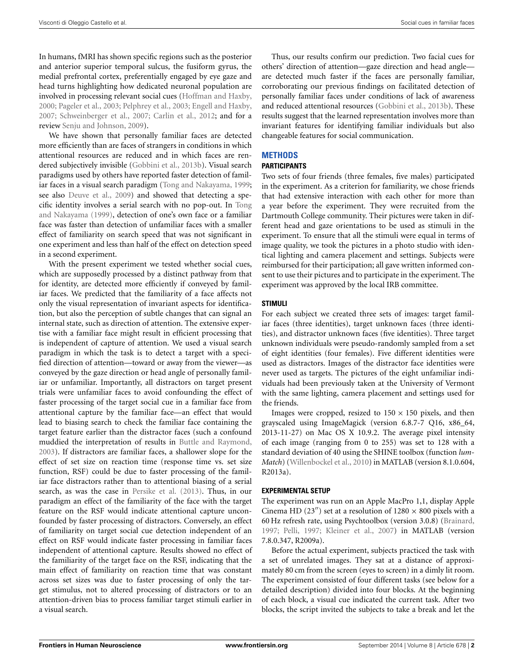In humans, fMRI has shown specific regions such as the posterior and anterior superior temporal sulcus, the fusiform gyrus, the medial prefrontal cortex, preferentially engaged by eye gaze and head turns highlighting how dedicated neuronal population are involved in processing relevant social cues [\(Hoffman and Haxby,](#page-10-19) [2000](#page-10-19); [Pageler et al.](#page-10-20), [2003;](#page-10-20) [Pelphrey et al.](#page-10-21), [2003](#page-10-21); [Engell and Haxby,](#page-9-4) [2007](#page-9-4); [Schweinberger et al., 2007;](#page-11-10) [Carlin et al., 2012;](#page-9-5) and for a review [Senju and Johnson, 2009](#page-11-11)).

We have shown that personally familiar faces are detected more efficiently than are faces of strangers in conditions in which attentional resources are reduced and in which faces are rendered subjectively invisible [\(Gobbini et al., 2013b\)](#page-10-22). Visual search paradigms used by others have reported faster detection of familiar faces in a visual search paradigm [\(Tong and Nakayama, 1999;](#page-11-12) see also [Deuve et al.](#page-9-6), [2009\)](#page-9-6) and showed that detecting a specific identity i[nvolves a serial search with no pop-out. In](#page-11-12) Tong and Nakayama [\(1999\)](#page-11-12), detection of one's own face or a familiar face was faster than detection of unfamiliar faces with a smaller effect of familiarity on search speed that was not significant in one experiment and less than half of the effect on detection speed in a second experiment.

With the present experiment we tested whether social cues, which are supposedly processed by a distinct pathway from that for identity, are detected more efficiently if conveyed by familiar faces. We predicted that the familiarity of a face affects not only the visual representation of invariant aspects for identification, but also the perception of subtle changes that can signal an internal state, such as direction of attention. The extensive expertise with a familiar face might result in efficient processing that is independent of capture of attention. We used a visual search paradigm in which the task is to detect a target with a specified direction of attention—toward or away from the viewer—as conveyed by the gaze direction or head angle of personally familiar or unfamiliar. Importantly, all distractors on target present trials were unfamiliar faces to avoid confounding the effect of faster processing of the target social cue in a familiar face from attentional capture by the familiar face—an effect that would lead to biasing search to check the familiar face containing the target feature earlier than the distractor faces (such a confound muddied the interpretation of results in [Buttle and Raymond,](#page-9-7) [2003](#page-9-7)). If distractors are familiar faces, a shallower slope for the effect of set size on reaction time (response time vs. set size function, RSF) could be due to faster processing of the familiar face distractors rather than to attentional biasing of a serial search, as was the case in [Persike et al.](#page-10-23) [\(2013](#page-10-23)). Thus, in our paradigm an effect of the familiarity of the face with the target feature on the RSF would indicate attentional capture unconfounded by faster processing of distractors. Conversely, an effect of familiarity on target social cue detection independent of an effect on RSF would indicate faster processing in familiar faces independent of attentional capture. Results showed no effect of the familiarity of the target face on the RSF, indicating that the main effect of familiarity on reaction time that was constant across set sizes was due to faster processing of only the target stimulus, not to altered processing of distractors or to an attention-driven bias to process familiar target stimuli earlier in a visual search.

Thus, our results confirm our prediction. Two facial cues for others' direction of attention—gaze direction and head angle are detected much faster if the faces are personally familiar, corroborating our previous findings on facilitated detection of personally familiar faces under conditions of lack of awareness and reduced attentional resources [\(Gobbini et al.](#page-10-22), [2013b](#page-10-22)). These results suggest that the learned representation involves more than invariant features for identifying familiar individuals but also changeable features for social communication.

## **METHODS**

## **PARTICIPANTS**

Two sets of four friends (three females, five males) participated in the experiment. As a criterion for familiarity, we chose friends that had extensive interaction with each other for more than a year before the experiment. They were recruited from the Dartmouth College community. Their pictures were taken in different head and gaze orientations to be used as stimuli in the experiment. To ensure that all the stimuli were equal in terms of image quality, we took the pictures in a photo studio with identical lighting and camera placement and settings. Subjects were reimbursed for their participation; all gave written informed consent to use their pictures and to participate in the experiment. The experiment was approved by the local IRB committee.

#### **STIMULI**

For each subject we created three sets of images: target familiar faces (three identities), target unknown faces (three identities), and distractor unknown faces (five identities). Three target unknown individuals were pseudo-randomly sampled from a set of eight identities (four females). Five different identities were used as distractors. Images of the distractor face identities were never used as targets. The pictures of the eight unfamiliar individuals had been previously taken at the University of Vermont with the same lighting, camera placement and settings used for the friends.

Images were cropped, resized to  $150 \times 150$  pixels, and then grayscaled using ImageMagick (version 6.8.7-7 Q16, x86\_64, 2013-11-27) on Mac OS X 10.9.2. The average pixel intensity of each image (ranging from 0 to 255) was set to 128 with a standard deviation of 40 using the SHINE toolbox (function *lum-Match*) [\(Willenbockel et al., 2010](#page-11-13)) in MATLAB (version 8.1.0.604, R2013a).

## **EXPERIMENTAL SETUP**

The experiment was run on an Apple MacPro 1,1, display Apple Cinema HD  $(23'')$  set at a resolution of  $1280 \times 800$  pixels with a 60 Hz refresh rate, using Psychtoolbox (version 3.0.8) [\(Brainard](#page-9-8), [1997](#page-9-8); [Pelli, 1997](#page-10-24); [Kleiner et al., 2007](#page-10-25)) in MATLAB (version 7.8.0.347, R2009a).

Before the actual experiment, subjects practiced the task with a set of unrelated images. They sat at a distance of approximately 80 cm from the screen (eyes to screen) in a dimly lit room. The experiment consisted of four different tasks (see below for a detailed description) divided into four blocks. At the beginning of each block, a visual cue indicated the current task. After two blocks, the script invited the subjects to take a break and let the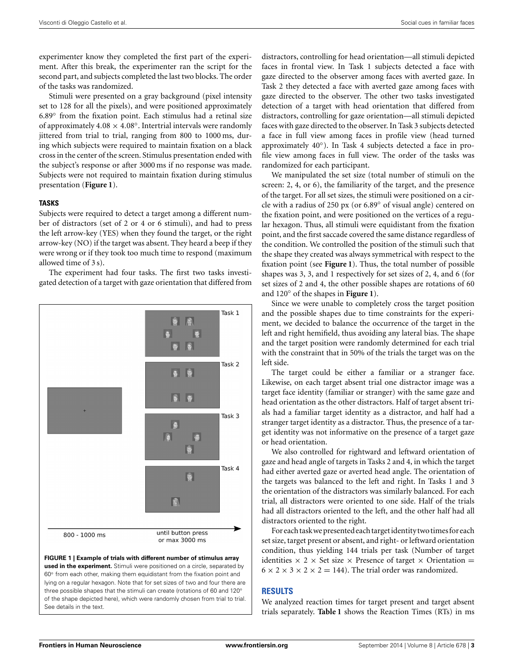experimenter know they completed the first part of the experiment. After this break, the experimenter ran the script for the second part, and subjects completed the last two blocks. The order of the tasks was randomized.

Stimuli were presented on a gray background (pixel intensity set to 128 for all the pixels), and were positioned approximately 6.89◦ from the fixation point. Each stimulus had a retinal size of approximately  $4.08 \times 4.08^\circ$ . Intertrial intervals were randomly jittered from trial to trial, ranging from 800 to 1000 ms, during which subjects were required to maintain fixation on a black cross in the center of the screen. Stimulus presentation ended with the subject's response or after 3000 ms if no response was made. Subjects were not required to maintain fixation during stimulus presentation (**[Figure 1](#page-3-0)**).

#### **TASKS**

Subjects were required to detect a target among a different number of distractors (set of 2 or 4 or 6 stimuli), and had to press the left arrow-key (YES) when they found the target, or the right arrow-key (NO) if the target was absent. They heard a beep if they were wrong or if they took too much time to respond (maximum allowed time of 3 s).

The experiment had four tasks. The first two tasks investigated detection of a target with gaze orientation that differed from



<span id="page-3-0"></span>**FIGURE 1 | Example of trials with different number of stimulus array used in the experiment.** Stimuli were positioned on a circle, separated by 60◦ from each other, making them equidistant from the fixation point and lying on a regular hexagon. Note that for set sizes of two and four there are three possible shapes that the stimuli can create (rotations of 60 and 120° of the shape depicted here), which were randomly chosen from trial to trial. See details in the text.

distractors, controlling for head orientation—all stimuli depicted faces in frontal view. In Task 1 subjects detected a face with gaze directed to the observer among faces with averted gaze. In Task 2 they detected a face with averted gaze among faces with gaze directed to the observer. The other two tasks investigated detection of a target with head orientation that differed from distractors, controlling for gaze orientation—all stimuli depicted faces with gaze directed to the observer. In Task 3 subjects detected a face in full view among faces in profile view (head turned approximately 40◦). In Task 4 subjects detected a face in profile view among faces in full view. The order of the tasks was randomized for each participant.

We manipulated the set size (total number of stimuli on the screen: 2, 4, or 6), the familiarity of the target, and the presence of the target. For all set sizes, the stimuli were positioned on a circle with a radius of 250 px (or 6.89◦ of visual angle) centered on the fixation point, and were positioned on the vertices of a regular hexagon. Thus, all stimuli were equidistant from the fixation point, and the first saccade covered the same distance regardless of the condition. We controlled the position of the stimuli such that the shape they created was always symmetrical with respect to the fixation point (see **[Figure 1](#page-3-0)**). Thus, the total number of possible shapes was 3, 3, and 1 respectively for set sizes of 2, 4, and 6 (for set sizes of 2 and 4, the other possible shapes are rotations of 60 and 120◦ of the shapes in **[Figure 1](#page-3-0)**).

Since we were unable to completely cross the target position and the possible shapes due to time constraints for the experiment, we decided to balance the occurrence of the target in the left and right hemifield, thus avoiding any lateral bias. The shape and the target position were randomly determined for each trial with the constraint that in 50% of the trials the target was on the left side.

The target could be either a familiar or a stranger face. Likewise, on each target absent trial one distractor image was a target face identity (familiar or stranger) with the same gaze and head orientation as the other distractors. Half of target absent trials had a familiar target identity as a distractor, and half had a stranger target identity as a distractor. Thus, the presence of a target identity was not informative on the presence of a target gaze or head orientation.

We also controlled for rightward and leftward orientation of gaze and head angle of targets in Tasks 2 and 4, in which the target had either averted gaze or averted head angle. The orientation of the targets was balanced to the left and right. In Tasks 1 and 3 the orientation of the distractors was similarly balanced. For each trial, all distractors were oriented to one side. Half of the trials had all distractors oriented to the left, and the other half had all distractors oriented to the right.

For each taskwe presented each targetidentity two timesfor each set size, target present or absent, and right- or leftward orientation condition, thus yielding 144 trials per task (Number of target identities  $\times$  2  $\times$  Set size  $\times$  Presence of target  $\times$  Orientation =  $6 \times 2 \times 3 \times 2 \times 2 = 144$ . The trial order was randomized.

## **RESULTS**

We analyzed reaction times for target present and target absent trials separately. **[Table 1](#page-4-0)** shows the Reaction Times (RTs) in ms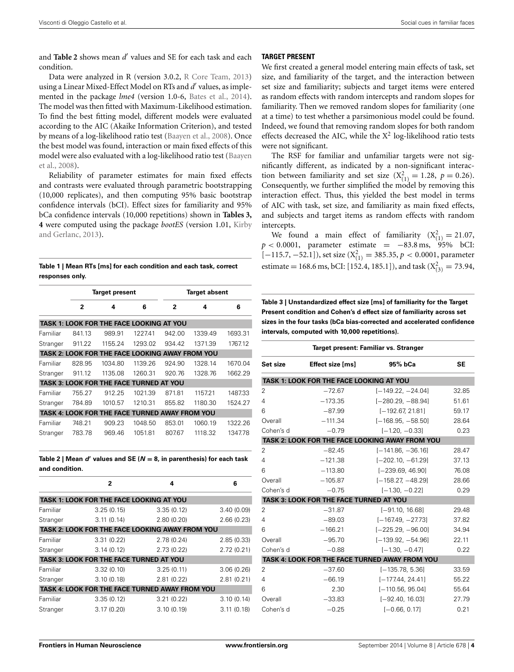and **[Table 2](#page-4-1)** shows mean  $d'$  values and SE for each task and each condition.

Data were analyzed in R (version 3.0.2, [R Core Team, 2013](#page-11-14)) using a Linear Mixed-Effect Model on RTs and *d' v*alues, as implemented in the package *lme4* (version 1.0-6, [Bates et al., 2014](#page-9-9)). The model was then fitted with Maximum-Likelihood estimation. To find the best fitting model, different models were evaluated according to the AIC (Akaike Information Criterion), and tested by means of a log-likelihood ratio test [\(Baayen et al.](#page-9-10), [2008\)](#page-9-10). Once the best model was found, interaction or main fixed effects of this mod[el were also evaluated with a log-likelihood ratio test \(](#page-9-10)Baayen et al., [2008\)](#page-9-10).

Reliability of parameter estimates for main fixed effects and contrasts were evaluated through parametric bootstrapping (10,000 replicates), and then computing 95% basic bootstrap confidence intervals (bCI). Effect sizes for familiarity and 95% bCa confidence intervals (10,000 repetitions) shown in **[Tables 3,](#page-4-2) [4](#page-5-0)** were com[puted using the package](#page-10-26) *bootES* (version 1.01, Kirby and Gerlanc, [2013](#page-10-26)).

#### <span id="page-4-0"></span>**Table 1 | Mean RTs [ms] for each condition and each task, correct responses only.**

|                                                 | <b>Target present</b> |         |                                                | Target absent |         |         |
|-------------------------------------------------|-----------------------|---------|------------------------------------------------|---------------|---------|---------|
|                                                 | $\mathbf{2}$          | 4       | 6                                              | 2             | 4       | 6       |
|                                                 |                       |         | TASK 1: LOOK FOR THE FACE LOOKING AT YOU       |               |         |         |
| Familiar                                        | 841.13                | 989.91  | 1227.41                                        | 942.00        | 1339.49 | 1693.31 |
| Stranger                                        | 911.22                | 1155.24 | 1293.02                                        | 934.42        | 1371.39 | 1767.12 |
| TASK 2: LOOK FOR THE FACE LOOKING AWAY FROM YOU |                       |         |                                                |               |         |         |
| Familiar                                        | 828.95                | 1034.80 | 1139.26                                        | 924.90        | 1328.14 | 1670.04 |
| Stranger                                        | 911.12                | 1135.08 | 1260.31                                        | 920.76        | 1328.76 | 1662.29 |
|                                                 |                       |         | <b>TASK 3: LOOK FOR THE FACE TURNED AT YOU</b> |               |         |         |
| Familiar                                        | 755.27                | 912.25  | 1021.39                                        | 871.81        | 1157.21 | 1487.33 |
| Stranger                                        | 784.89                | 1010.57 | 1210.31                                        | 855.82        | 1180.30 | 1524.27 |
| TASK 4: LOOK FOR THE FACE TURNED AWAY FROM YOU  |                       |         |                                                |               |         |         |
| Familiar                                        | 748.21                | 909.23  | 1048.50                                        | 853.01        | 1060.19 | 1322.26 |
| Stranger                                        | 783.78                | 969.46  | 1051.81                                        | 807.67        | 1118.32 | 1347.78 |
|                                                 |                       |         |                                                |               |         |         |

<span id="page-4-1"></span>**Table 2 | Mean** *d***- values and SE (***N* **= 8, in parenthesis) for each task and condition.**

|          | 2                                               | 4                                               | 6          |
|----------|-------------------------------------------------|-------------------------------------------------|------------|
|          | <b>TASK 1: LOOK FOR THE FACE LOOKING AT YOU</b> |                                                 |            |
| Familiar | 3.25(0.15)                                      | 3.35(0.12)                                      | 3.40(0.09) |
| Stranger | 3.11(0.14)                                      | 2.80(0.20)                                      | 2.66(0.23) |
|          |                                                 | TASK 2: LOOK FOR THE FACE LOOKING AWAY FROM YOU |            |
| Familiar | 3.31(0.22)                                      | 2.78(0.24)                                      | 2.85(0.33) |
| Stranger | 3.14(0.12)                                      | 2.73(0.22)                                      | 2.72(0.21) |
|          | <b>TASK 3: LOOK FOR THE FACE TURNED AT YOU</b>  |                                                 |            |
| Familiar | 3.32(0.10)                                      | 3.25(0.11)                                      | 3.06(0.26) |
| Stranger | 3.10(0.18)                                      | 2.81(0.22)                                      | 2.81(0.21) |
|          |                                                 | TASK 4: LOOK FOR THE FACE TURNED AWAY FROM YOU  |            |
| Familiar | 3.35(0.12)                                      | 3.21(0.22)                                      | 3.10(0.14) |
| Stranger | 3.17(0.20)                                      | 3.10(0.19)                                      | 3.11(0.18) |

## **TARGET PRESENT**

We first created a general model entering main effects of task, set size, and familiarity of the target, and the interaction between set size and familiarity; subjects and target items were entered as random effects with random intercepts and random slopes for familiarity. Then we removed random slopes for familiarity (one at a time) to test whether a parsimonious model could be found. Indeed, we found that removing random slopes for both random effects decreased the AIC, while the  $X^2$  log-likelihood ratio tests were not significant.

The RSF for familiar and unfamiliar targets were not significantly different, as indicated by a non-significant interaction between familiarity and set size  $(X_{(1)}^2 = 1.28, p = 0.26)$ . Consequently, we further simplified the model by removing this interaction effect. Thus, this yielded the best model in terms of AIC with task, set size, and familiarity as main fixed effects, and subjects and target items as random effects with random intercepts.

We found a main effect of familiarity  $(X_{(1)}^2 = 21.07$ ,  $p < 0.0001$ , parameter estimate =  $-83.8$  ms,  $95\%$  bCI: [−115.7, <sup>−</sup>52.1]), set size (X<sup>2</sup> (1) = 385*.*35, *p <* 0*.*0001, parameter estimate = 168.6 ms, bCI: [152.4, 185.1]), and task ( $X_{(3)}^2 = 73.94$ ,

<span id="page-4-2"></span>**Table 3 | Unstandardized effect size [ms] of familiarity for the Target Present condition and Cohen's d effect size of familiarity across set sizes in the four tasks (bCa bias-corrected and accelerated confidence intervals, computed with 10,000 repetitions).**

| Target present: Familiar vs. Stranger           |                  |                     |           |  |  |  |
|-------------------------------------------------|------------------|---------------------|-----------|--|--|--|
| Set size                                        | Effect size [ms] | 95% bCa             | <b>SE</b> |  |  |  |
| TASK 1: LOOK FOR THE FACE LOOKING AT YOU        |                  |                     |           |  |  |  |
| 2                                               | $-72.67$         | $[-149.22, -24.04]$ | 32.85     |  |  |  |
| $\overline{4}$                                  | $-173.35$        | $[-280.29, -88.94]$ | 51.61     |  |  |  |
| 6                                               | $-87.99$         | $[-192.67, 21.81]$  | 59.17     |  |  |  |
| Overall                                         | $-111.34$        | $[-168.95, -58.50]$ | 28.64     |  |  |  |
| Cohen's d                                       | $-0.79$          | $[-1.20, -0.33]$    | 0.23      |  |  |  |
| TASK 2: LOOK FOR THE FACE LOOKING AWAY FROM YOU |                  |                     |           |  |  |  |
| 2                                               | $-82.45$         | $[-141.86, -36.16]$ | 28.47     |  |  |  |
| 4                                               | $-121.38$        | $[-202.10, -61.29]$ | 37.13     |  |  |  |
| 6                                               | $-113.80$        | $[-239.69, 46.90]$  | 76.08     |  |  |  |
| Overall                                         | $-105.87$        | $[-158.27, -48.29]$ | 28.66     |  |  |  |
| Cohen's d                                       | $-0.75$          | $[-1.30, -0.22]$    | 0.29      |  |  |  |
| <b>TASK 3: LOOK FOR THE FACE TURNED AT YOU</b>  |                  |                     |           |  |  |  |
| 2                                               | $-31.87$         | $[-91.10, 16.68]$   | 29.48     |  |  |  |
| $\overline{4}$                                  | $-89.03$         | $[-167.49, -27.73]$ | 37.82     |  |  |  |
| 6                                               | $-166.21$        | $[-225.29, -96.00]$ | 34.94     |  |  |  |
| Overall                                         | $-95.70$         | $[-139.92, -54.96]$ | 22.11     |  |  |  |
| Cohen's d                                       | $-0.88$          | $[-1.30, -0.47]$    | 0.22      |  |  |  |
| TASK 4: LOOK FOR THE FACE TURNED AWAY FROM YOU  |                  |                     |           |  |  |  |
| 2                                               | $-37.60$         | $[-135.78, 5.36]$   | 33.59     |  |  |  |
| 4                                               | $-66.19$         | $[-177.44, 24.41]$  | 55.22     |  |  |  |
| 6                                               | 2.30             | $[-110.56, 95.04]$  | 55.64     |  |  |  |
| Overall                                         | $-33.83$         | $[-92.40, 16.03]$   | 27.79     |  |  |  |
| Cohen's d                                       | $-0.25$          | $[-0.66, 0.17]$     | 0.21      |  |  |  |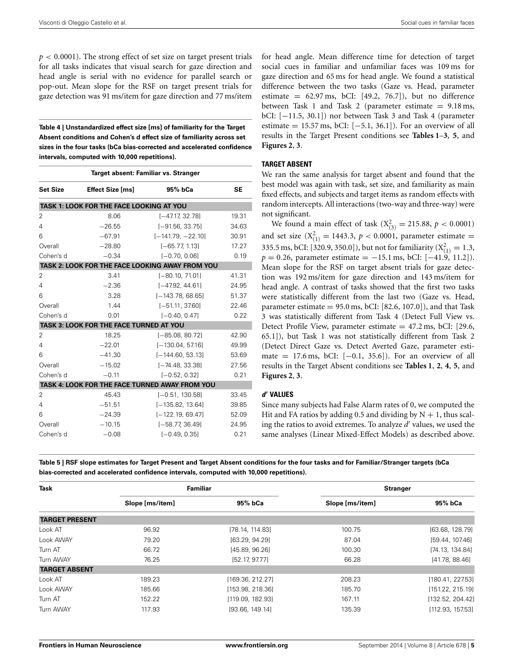*p <* 0*.*0001). The strong effect of set size on target present trials for all tasks indicates that visual search for gaze direction and head angle is serial with no evidence for parallel search or pop-out. Mean slope for the RSF on target present trials for gaze detection was 91 ms/item for gaze direction and 77 ms/item

<span id="page-5-0"></span>**Table 4 | Unstandardized effect size [ms] of familiarity for the Target Absent conditions and Cohen's d effect size of familiarity across set sizes in the four tasks (bCa bias-corrected and accelerated confidence intervals, computed with 10,000 repetitions).**

| Target absent: Familiar vs. Stranger            |                         |                     |           |  |  |
|-------------------------------------------------|-------------------------|---------------------|-----------|--|--|
| <b>Set Size</b>                                 | <b>Effect Size [ms]</b> | 95% bCa             | <b>SE</b> |  |  |
| TASK 1: LOOK FOR THE FACE LOOKING AT YOU        |                         |                     |           |  |  |
| 2                                               | 8.06                    | $[-47.17, 32.78]$   | 19.31     |  |  |
| 4                                               | $-26.55$                | $[-91.56, 33.75]$   | 34.63     |  |  |
| 6                                               | $-67.91$                | $[-141.79, -22.10]$ | 30.91     |  |  |
| Overall                                         | $-28.80$                | $[-65.77, 1.13]$    | 17.27     |  |  |
| Cohen's d                                       | $-0.34$                 | $[-0.70, 0.06]$     | 0.19      |  |  |
| TASK 2: LOOK FOR THE FACE LOOKING AWAY FROM YOU |                         |                     |           |  |  |
| 2                                               | 3.41                    | $[-80.10, 71.01]$   | 41.31     |  |  |
| $\overline{4}$                                  | $-2.36$                 | $[-47.92, 44.61]$   | 24.95     |  |  |
| 6                                               | 3.28                    | $[-143.78, 68.65]$  | 51.37     |  |  |
| Overall                                         | 1.44                    | $[-51.11, 37.60]$   | 22.46     |  |  |
| Cohen's d                                       | 0.01                    | $[-0.40, 0.47]$     | 0.22      |  |  |
| TASK 3: LOOK FOR THE FACE TURNED AT YOU         |                         |                     |           |  |  |
| 2                                               | 18.25                   | $[-85.08, 80.72]$   | 42.90     |  |  |
| $\overline{4}$                                  | $-22.01$                | $[-130.04, 57.16]$  | 49.99     |  |  |
| 6                                               | $-41.30$                | $[-144.60, 53.13]$  | 53.69     |  |  |
| Overall                                         | $-15.02$                | $[-74.48, 33.38]$   | 27.56     |  |  |
| Cohen's d                                       | $-0.11$                 | $[-0.52, 0.32]$     | 0.21      |  |  |
| TASK 4: LOOK FOR THE FACE TURNED AWAY FROM YOU  |                         |                     |           |  |  |
| $\overline{2}$                                  | 45.43                   | $[-0.51, 130.58]$   | 33.45     |  |  |
| 4                                               | $-51.51$                | $[-135.82, 13.64]$  | 39.85     |  |  |
| 6                                               | $-24.39$                | $[-122.19, 69.47]$  | 52.09     |  |  |
| Overall                                         | $-10.15$                | $[-58.77, 36.49]$   | 24.95     |  |  |
| Cohen's d                                       | $-0.08$                 | $[-0.49, 0.35]$     | 0.21      |  |  |

for head angle. Mean difference time for detection of target social cues in familiar and unfamiliar faces was 109 ms for gaze direction and 65 ms for head angle. We found a statistical difference between the two tasks (Gaze vs. Head, parameter estimate  $= 62.97$  ms, bCI: [49.2, 76.7]), but no difference between Task 1 and Task 2 (parameter estimate  $= 9.18$  ms, bCI: [−11.5, 30.1]) nor between Task 3 and Task 4 (parameter estimate = 15.57 ms, bCI:  $[-5.1, 36.1]$ ). For an overview of all results in the Target Present conditions see **[Tables 1](#page-4-0)**–**[3](#page-4-2)**, **[5](#page-5-1)**, and **[Figures 2](#page-6-0)**, **[3](#page-6-1)**.

#### **TARGET ABSENT**

We ran the same analysis for target absent and found that the best model was again with task, set size, and familiarity as main fixed effects, and subjects and target items as random effects with random intercepts. All interactions (two-way and three-way) were not significant.

We found a main effect of task  $(X_{(3)}^2 = 215.88, p < 0.0001)$ and set size  $(X_{(1)}^2 = 1443.3, p < 0.0001$ , parameter estimate = 335.5 ms, bCI: [320.9, 350.0]), but not for familiarity  $(X_{(1)}^2 = 1.3,$ *p* = 0.26, parameter estimate = −15.1 ms, bCI: [−41.9, 11.2]). Mean slope for the RSF on target absent trials for gaze detection was 192 ms/item for gaze direction and 143 ms/item for head angle. A contrast of tasks showed that the first two tasks were statistically different from the last two (Gaze vs. Head, parameter estimate  $= 95.0$  ms, bCI: [82.6, 107.0]), and that Task 3 was statistically different from Task 4 (Detect Full View vs. Detect Profile View, parameter estimate  $= 47.2$  ms, bCI: [29.6, 65.1]), but Task 1 was not statistically different from Task 2 (Detect Direct Gaze vs. Detect Averted Gaze, parameter estimate = 17.6 ms, bCI:  $[-0.1, 35.6]$ ). For an overview of all results in the Target Absent conditions see **[Tables 1](#page-4-0)**, **[2](#page-4-1)**, **[4](#page-5-0)**, **[5](#page-5-1)**, and **[Figures 2](#page-6-0)**, **[3](#page-6-1)**.

#### *d***- VALUES**

Since many subjects had False Alarm rates of 0, we computed the Hit and FA ratios by adding 0.5 and dividing by  $N + 1$ , thus scaling the ratios to avoid extremes. To analyze d' values, we used the same analyses (Linear Mixed-Effect Models) as described above.

<span id="page-5-1"></span>**Table 5 | RSF slope estimates for Target Present and Target Absent conditions for the four tasks and for Familiar/Stranger targets (bCa bias-corrected and accelerated confidence intervals, computed with 10,000 repetitions).**

| <b>Task</b>           | <b>Familiar</b> |                  | <b>Stranger</b> |                  |  |
|-----------------------|-----------------|------------------|-----------------|------------------|--|
|                       | Slope [ms/item] | 95% bCa          | Slope [ms/item] | 95% bCa          |  |
| <b>TARGET PRESENT</b> |                 |                  |                 |                  |  |
| Look AT               | 96.92           | [78.14, 114.83]  | 100.75          | [63.68, 128.79]  |  |
| Look AWAY             | 79.20           | [63.29, 94.29]   | 87.04           | [59.44, 107.46]  |  |
| Turn AT               | 66.72           | [45.89, 96.26]   | 100.30          | [74.13, 134.84]  |  |
| Turn AWAY             | 76.25           | [52.17, 97.77]   | 66.28           | [41.78, 88.46]   |  |
| <b>TARGET ABSENT</b>  |                 |                  |                 |                  |  |
| Look AT               | 189.23          | [169.36, 212.27] | 208.23          | [180.41, 227.53] |  |
| Look AWAY             | 185.66          | [153.98, 218.36] | 185.70          | [151.22, 215.19] |  |
| Turn AT               | 152.22          | [119.09, 182.93] | 167.11          | [132.52, 204.42] |  |
| Turn AWAY             | 117.93          | [93.66, 149.14]  | 135.39          | [112.93, 157.53] |  |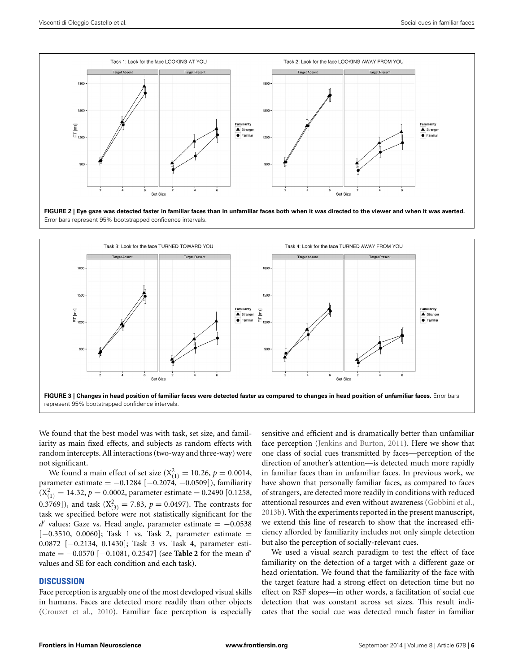

<span id="page-6-0"></span>



<span id="page-6-1"></span>We found that the best model was with task, set size, and familiarity as main fixed effects, and subjects as random effects with random intercepts. All interactions (two-way and three-way) were not significant.

We found a main effect of set size  $(X_{(1)}^2 = 10.26, p = 0.0014,$ parameter estimate =  $-0.1284$  [ $-0.2074$ ,  $-0.0509$ ]), familiarity  $(X_{(1)}^2 = 14.32, p = 0.0002,$  parameter estimate = 0.2490 [0.1258, 0.3769]), and task  $(X_{(3)}^2 = 7.83, p = 0.0497)$ . The contrasts for task we specified before were not statistically significant for the *d*' values: Gaze vs. Head angle, parameter estimate = −0.0538 [−0.3510, 0.0060]; Task 1 vs. Task 2, parameter estimate = 0.0872 [−0.2134, 0.1430]; Task 3 vs. Task 4, parameter estimate = −0.0570 [−0.1081, 0.2547] (see **[Table 2](#page-4-1)** for the mean *d* values and SE for each condition and each task).

## **DISCUSSION**

Face perception is arguably one of the most developed visual skills in humans. Faces are detected more readily than other objects [\(Crouzet et al.](#page-9-0), [2010\)](#page-9-0). Familiar face perception is especially sensitive and efficient and is dramatically better than unfamiliar face perception [\(Jenkins and Burton](#page-10-27), [2011\)](#page-10-27). Here we show that one class of social cues transmitted by faces—perception of the direction of another's attention—is detected much more rapidly in familiar faces than in unfamiliar faces. In previous work, we have shown that personally familiar faces, as compared to faces of strangers, are detected more readily in conditions with reduced attentional resources and even without awareness [\(Gobbini et al.](#page-10-22), [2013b](#page-10-22)). With the experiments reported in the present manuscript, we extend this line of research to show that the increased efficiency afforded by familiarity includes not only simple detection but also the perception of socially-relevant cues.

We used a visual search paradigm to test the effect of face familiarity on the detection of a target with a different gaze or head orientation. We found that the familiarity of the face with the target feature had a strong effect on detection time but no effect on RSF slopes—in other words, a facilitation of social cue detection that was constant across set sizes. This result indicates that the social cue was detected much faster in familiar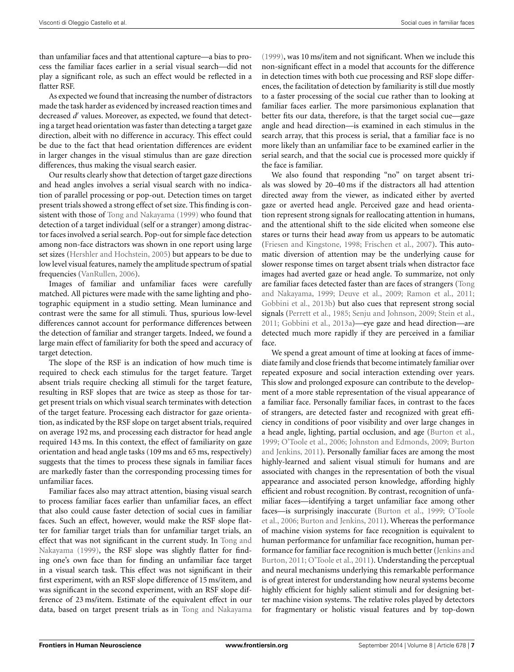than unfamiliar faces and that attentional capture—a bias to process the familiar faces earlier in a serial visual search—did not play a significant role, as such an effect would be reflected in a flatter RSF.

As expected we found that increasing the number of distractors made the task harder as evidenced by increased reaction times and decreased *d'* values. Moreover, as expected, we found that detecting a target head orientation was faster than detecting a target gaze direction, albeit with no difference in accuracy. This effect could be due to the fact that head orientation differences are evident in larger changes in the visual stimulus than are gaze direction differences, thus making the visual search easier.

Our results clearly show that detection of target gaze directions and head angles involves a serial visual search with no indication of parallel processing or pop-out. Detection times on target present trials showed a strong effect of set size. This finding is consistent with those of [Tong and Nakayama](#page-11-12) [\(1999](#page-11-12)) who found that detection of a target individual (self or a stranger) among distractor faces involved a serial search. Pop-out for simple face detection among non-face distractors was shown in one report using large set sizes [\(Hershler and Hochstein](#page-10-10), [2005](#page-10-10)) but appears to be due to low level visual features, namely the amplitude spectrum of spatial frequencies [\(VanRullen, 2006](#page-11-8)).

Images of familiar and unfamiliar faces were carefully matched. All pictures were made with the same lighting and photographic equipment in a studio setting. Mean luminance and contrast were the same for all stimuli. Thus, spurious low-level differences cannot account for performance differences between the detection of familiar and stranger targets. Indeed, we found a large main effect of familiarity for both the speed and accuracy of target detection.

The slope of the RSF is an indication of how much time is required to check each stimulus for the target feature. Target absent trials require checking all stimuli for the target feature, resulting in RSF slopes that are twice as steep as those for target present trials on which visual search terminates with detection of the target feature. Processing each distractor for gaze orientation, as indicated by the RSF slope on target absent trials, required on average 192 ms, and processing each distractor for head angle required 143 ms. In this context, the effect of familiarity on gaze orientation and head angle tasks (109 ms and 65 ms, respectively) suggests that the times to process these signals in familiar faces are markedly faster than the corresponding processing times for unfamiliar faces.

Familiar faces also may attract attention, biasing visual search to process familiar faces earlier than unfamiliar faces, an effect that also could cause faster detection of social cues in familiar faces. Such an effect, however, would make the RSF slope flatter for familiar target trials than for unfamiliar target trials, an effect that [was](#page-11-12) [not](#page-11-12) [significant](#page-11-12) [in](#page-11-12) [the](#page-11-12) [current](#page-11-12) [study.](#page-11-12) [In](#page-11-12) Tong and Nakayama [\(1999](#page-11-12)), the RSF slope was slightly flatter for finding one's own face than for finding an unfamiliar face target in a visual search task. This effect was not significant in their first experiment, with an RSF slope difference of 15 ms/item, and was significant in the second experiment, with an RSF slope difference of 23 ms/item. Estimate of the equivalent effect in our data, based on target present trials as in [Tong and Nakayama](#page-11-12)

[\(1999\)](#page-11-12), was 10 ms/item and not significant. When we include this non-significant effect in a model that accounts for the difference in detection times with both cue processing and RSF slope differences, the facilitation of detection by familiarity is still due mostly to a faster processing of the social cue rather than to looking at familiar faces earlier. The more parsimonious explanation that better fits our data, therefore, is that the target social cue—gaze angle and head direction—is examined in each stimulus in the search array, that this process is serial, that a familiar face is no more likely than an unfamiliar face to be examined earlier in the serial search, and that the social cue is processed more quickly if the face is familiar.

We also found that responding "no" on target absent trials was slowed by 20–40 ms if the distractors all had attention directed away from the viewer, as indicated either by averted gaze or averted head angle. Perceived gaze and head orientation represent strong signals for reallocating attention in humans, and the attentional shift to the side elicited when someone else stares or turns their head away from us appears to be automatic [\(Friesen and Kingstone](#page-10-28), [1998;](#page-10-28) [Frischen et al., 2007](#page-10-29)). This automatic diversion of attention may be the underlying cause for slower response times on target absent trials when distractor face images had averted gaze or head angle. To summarize, not only are familiar fac[es detected faster than are faces of strangers \(](#page-11-12)Tong and Nakayama, [1999;](#page-11-12) [Deuve et al.](#page-9-6), [2009;](#page-9-6) [Ramon et al., 2011;](#page-10-30) [Gobbini et al., 2013b](#page-10-22)) but also cues that represent strong social signals [\(Perrett et al., 1985;](#page-10-18) [Senju and Johnson](#page-11-11), [2009](#page-11-11); [Stein et al.,](#page-11-2) [2011](#page-11-2); [Gobbini et al.](#page-10-7), [2013a\)](#page-10-7)—eye gaze and head direction—are detected much more rapidly if they are perceived in a familiar face.

We spend a great amount of time at looking at faces of immediate family and close friends that become intimately familiar over repeated exposure and social interaction extending over years. This slow and prolonged exposure can contribute to the development of a more stable representation of the visual appearance of a familiar face. Personally familiar faces, in contrast to the faces of strangers, are detected faster and recognized with great efficiency in conditions of poor visibility and over large changes in a head angle, lighting, partial occlusion, and age [\(Burton et al.,](#page-9-11) [1999](#page-9-11); [O'Toole et al.](#page-10-31)[,](#page-9-12) [2006](#page-10-31)[;](#page-9-12) [Johnston and Edmonds](#page-10-32)[,](#page-9-12) [2009](#page-10-32)[;](#page-9-12) Burton and Jenkins, [2011\)](#page-9-12). Personally familiar faces are among the most highly-learned and salient visual stimuli for humans and are associated with changes in the representation of both the visual appearance and associated person knowledge, affording highly efficient and robust recognition. By contrast, recognition of unfamiliar faces—identifying a target unfamiliar face among other face[s—is surprisingly inaccurate](#page-10-31) [\(Burton et al., 1999](#page-9-11)[;](#page-10-31) O'Toole et al., [2006;](#page-10-31) [Burton and Jenkins, 2011](#page-9-12)). Whereas the performance of machine vision systems for face recognition is equivalent to human performance for unfamiliar face recognition, human performa[nce for familiar face recognition is much better \(](#page-10-27)Jenkins and Burton, [2011;](#page-10-27) [O'Toole et al., 2011](#page-10-33)). Understanding the perceptual and neural mechanisms underlying this remarkable performance is of great interest for understanding how neural systems become highly efficient for highly salient stimuli and for designing better machine vision systems. The relative roles played by detectors for fragmentary or holistic visual features and by top-down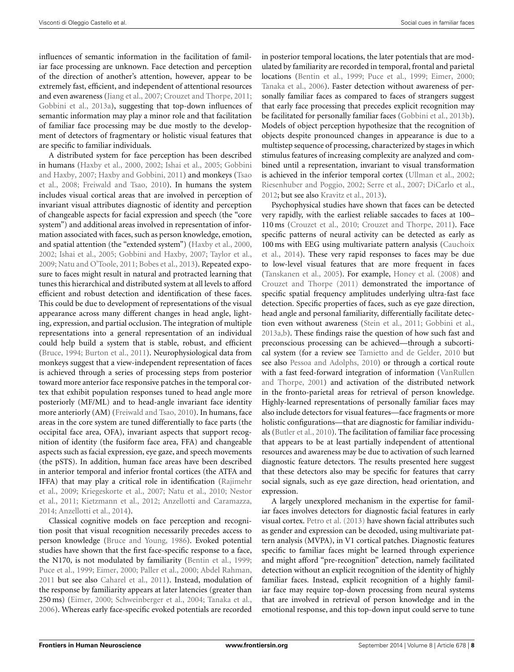influences of semantic information in the facilitation of familiar face processing are unknown. Face detection and perception of the direction of another's attention, however, appear to be extremely fast, efficient, and independent of attentional resources and even awareness [\(Jiang et al.](#page-10-5), [2007;](#page-10-5) [Crouzet and Thorpe](#page-9-13), [2011;](#page-9-13) [Gobbini et al.](#page-10-7), [2013a\)](#page-10-7), suggesting that top-down influences of semantic information may play a minor role and that facilitation of familiar face processing may be due mostly to the development of detectors of fragmentary or holistic visual features that are specific to familiar individuals.

A distributed system for face perception has been described in humans[\(Haxby et al.](#page-10-12)[,](#page-10-3) [2000](#page-10-12)[,](#page-10-3) [2002](#page-10-13)[;](#page-10-3) [Ishai et al., 2005](#page-10-34)[;](#page-10-3) Gobbini and [Haxby,](#page-11-15) [2007](#page-10-3)[;](#page-11-15) [Haxby and Gobbini](#page-10-35)[,](#page-11-15) [2011](#page-10-35)[\)](#page-11-15) [and](#page-11-15) [monkeys](#page-11-15) [\(](#page-11-15)Tsao et al., [2008;](#page-11-15) [Freiwald and Tsao](#page-10-36), [2010](#page-10-36)). In humans the system includes visual cortical areas that are involved in perception of invariant visual attributes diagnostic of identity and perception of changeable aspects for facial expression and speech (the "core system") and additional areas involved in representation of information associated with faces, such as person knowledge, emotion, and spatial attention (the "extended system") [\(Haxby et al., 2000,](#page-10-12) [2002](#page-10-13); [Ishai et al., 2005;](#page-10-34) [Gobbini and Haxby, 2007](#page-10-3); [Taylor et al.](#page-11-16), [2009](#page-11-16); [Natu and O'Toole, 2011](#page-10-37); [Bobes et al.](#page-9-14), [2013\)](#page-9-14). Repeated exposure to faces might result in natural and protracted learning that tunes this hierarchical and distributed system at all levels to afford efficient and robust detection and identification of these faces. This could be due to development of representations of the visual appearance across many different changes in head angle, lighting, expression, and partial occlusion. The integration of multiple representations into a general representation of an individual could help build a system that is stable, robust, and efficient [\(Bruce, 1994;](#page-9-15) [Burton et al., 2011\)](#page-9-16). Neurophysiological data from monkeys suggest that a view-independent representation of faces is achieved through a series of processing steps from posterior toward more anterior face responsive patches in the temporal cortex that exhibit population responses tuned to head angle more posteriorly (MF/ML) and to head-angle invariant face identity more anteriorly (AM) [\(Freiwald and Tsao, 2010](#page-10-36)). In humans, face areas in the core system are tuned differentially to face parts (the occipital face area, OFA), invariant aspects that support recognition of identity (the fusiform face area, FFA) and changeable aspects such as facial expression, eye gaze, and speech movements (the pSTS). In addition, human face areas have been described in anterior temporal and inferior frontal cortices (the ATFA and IFFA[\) that may play a critical role in identification \(](#page-10-38)Rajimehr et al[.,](#page-10-41) [2009;](#page-10-38) [Kriegeskorte et al.](#page-10-39)[,](#page-10-41) [2007](#page-10-39)[;](#page-10-41) [Natu et al., 2010;](#page-10-40) Nestor et al., [2011;](#page-10-41) [Kietzmann et al., 2012](#page-11-17); [Anzellotti and Caramazza](#page-9-17), [2014](#page-9-17); [Anzellotti et al.](#page-9-18), [2014\)](#page-9-18).

Classical cognitive models on face perception and recognition posit that visual recognition necessarily precedes access to person knowledge [\(Bruce and Young, 1986](#page-9-19)). Evoked potential studies have shown that the first face-specific response to a face, the N170, is not modulated by familiarity [\(Bentin et al.](#page-9-20), [1999;](#page-9-20) [Puce et al.](#page-10-11), [1999](#page-10-11); [Eimer, 2000;](#page-9-21) [Paller et al., 2000;](#page-10-42) [Abdel Rahman,](#page-9-22) [2011](#page-9-22) but see also [Caharel et al., 2011\)](#page-9-23). Instead, modulation of the response by familiarity appears at later latencies (greater than 250 ms) [\(Eimer, 2000](#page-9-21); [Schweinberger et al.](#page-11-18), [2004](#page-11-18); [Tanaka et al.](#page-11-19), [2006](#page-11-19)). Whereas early face-specific evoked potentials are recorded

in posterior temporal locations, the later potentials that are modulated by familiarity are recorded in temporal, frontal and parietal locations [\(Bentin et al., 1999;](#page-9-20) [Puce et al.](#page-10-11), [1999](#page-10-11); [Eimer, 2000](#page-9-21); [Tanaka et al.](#page-11-19), [2006\)](#page-11-19). Faster detection without awareness of personally familiar faces as compared to faces of strangers suggest that early face processing that precedes explicit recognition may be facilitated for personally familiar faces [\(Gobbini et al.](#page-10-22), [2013b\)](#page-10-22). Models of object perception hypothesize that the recognition of objects despite pronounced changes in appearance is due to a multistep sequence of processing, characterized by stages in which stimulus features of increasing complexity are analyzed and combined until a representation, invariant to visual transformation is achieved in the inferior temporal cortex [\(Ullman et al., 2002](#page-11-20); [Riesenhuber and Poggio, 2002](#page-11-21); [Serre et al., 2007](#page-11-22); [DiCarlo et al.](#page-9-24), [2012](#page-9-24); but see also [Kravitz et al.](#page-10-43), [2013\)](#page-10-43).

Psychophysical studies have shown that faces can be detected very rapidly, with the earliest reliable saccades to faces at 100– 110 ms [\(Crouzet et al., 2010;](#page-9-0) [Crouzet and Thorpe, 2011\)](#page-9-13). Face specific patterns of neural activity can be detected as early as 100 [ms with EEG using multivariate pattern analysis \(](#page-9-25)Cauchoix et al., [2014](#page-9-25)). These very rapid responses to faces may be due to low-level visual features that are more frequent in faces [\(Tanskanen et al.](#page-11-23), [2005](#page-11-23)). For example, [Honey et al.](#page-10-44) [\(2008\)](#page-10-44) and [Crouzet and Thorpe](#page-9-13) [\(2011\)](#page-9-13) demonstrated the importance of specific spatial frequency amplitudes underlying ultra-fast face detection. Specific properties of faces, such as eye gaze direction, head angle and personal familiarity, differentially facilitate detection even without awareness [\(Stein et al.](#page-11-2), [2011](#page-11-2); [Gobbini et al.](#page-10-7), [2013a](#page-10-7)[,b\)](#page-10-22). These findings raise the question of how such fast and preconscious processing can be achieved—through a subcortical system (for a review see [Tamietto and de Gelder](#page-11-5), [2010](#page-11-5) but see also [Pessoa and Adolphs, 2010](#page-10-9)) or through a cortical route with a fast [feed-forward integration of information \(](#page-11-24)VanRullen and Thorpe, [2001](#page-11-24)) and activation of the distributed network in the fronto-parietal areas for retrieval of person knowledge. Highly-learned representations of personally familiar faces may also include detectors for visual features—face fragments or more holistic configurations—that are diagnostic for familiar individuals [\(Butler et al., 2010](#page-9-26)). The facilitation of familiar face processing that appears to be at least partially independent of attentional resources and awareness may be due to activation of such learned diagnostic feature detectors. The results presented here suggest that these detectors also may be specific for features that carry social signals, such as eye gaze direction, head orientation, and expression.

A largely unexplored mechanism in the expertise for familiar faces involves detectors for diagnostic facial features in early visual cortex. [Petro et al.](#page-10-45) [\(2013](#page-10-45)) have shown facial attributes such as gender and expression can be decoded, using multivariate pattern analysis (MVPA), in V1 cortical patches. Diagnostic features specific to familiar faces might be learned through experience and might afford "pre-recognition" detection, namely facilitated detection without an explicit recognition of the identity of highly familiar faces. Instead, explicit recognition of a highly familiar face may require top-down processing from neural systems that are involved in retrieval of person knowledge and in the emotional response, and this top-down input could serve to tune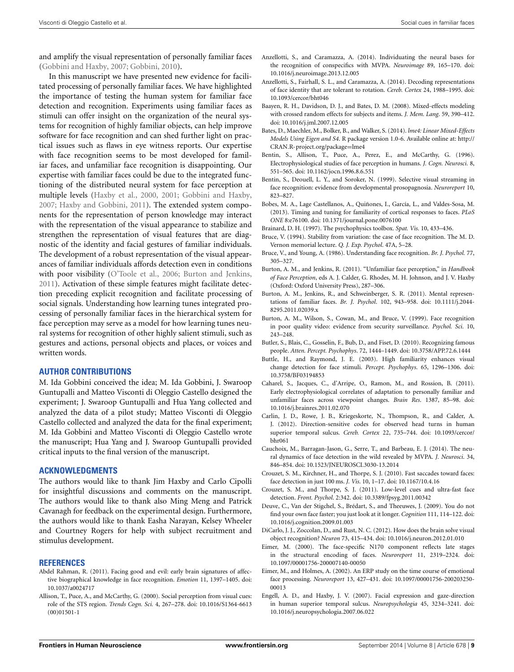and amplify the visual representation of personally familiar faces [\(Gobbini and Haxby, 2007](#page-10-3); [Gobbini](#page-10-4), [2010](#page-10-4)).

In this manuscript we have presented new evidence for facilitated processing of personally familiar faces. We have highlighted the importance of testing the human system for familiar face detection and recognition. Experiments using familiar faces as stimuli can offer insight on the organization of the neural systems for recognition of highly familiar objects, can help improve software for face recognition and can shed further light on practical issues such as flaws in eye witness reports. Our expertise with face recognition seems to be most developed for familiar faces, and unfamiliar face recognition is disappointing. Our expertise with familiar faces could be due to the integrated functioning of the distributed neural system for face perception at multiple levels [\(Haxby et al., 2000](#page-10-12), [2001](#page-10-46); [Gobbini and Haxby,](#page-10-3) [2007](#page-10-3); [Haxby and Gobbini, 2011](#page-10-35)). The extended system components for the representation of person knowledge may interact with the representation of the visual appearance to stabilize and strengthen the representation of visual features that are diagnostic of the identity and facial gestures of familiar individuals. The development of a robust representation of the visual appearances of familiar individuals affords detection even in conditions with poor visibility [\(O'Toole et al., 2006](#page-10-31); [Burton and Jenkins,](#page-9-12) [2011](#page-9-12)). Activation of these simple features might facilitate detection preceding explicit recognition and facilitate processing of social signals. Understanding how learning tunes integrated processing of personally familiar faces in the hierarchical system for face perception may serve as a model for how learning tunes neural systems for recognition of other highly salient stimuli, such as gestures and actions, personal objects and places, or voices and written words.

#### **AUTHOR CONTRIBUTIONS**

M. Ida Gobbini conceived the idea; M. Ida Gobbini, J. Swaroop Guntupalli and Matteo Visconti di Oleggio Castello designed the experiment; J. Swaroop Guntupalli and Hua Yang collected and analyzed the data of a pilot study; Matteo Visconti di Oleggio Castello collected and analyzed the data for the final experiment; M. Ida Gobbini and Matteo Visconti di Oleggio Castello wrote the manuscript; Hua Yang and J. Swaroop Guntupalli provided critical inputs to the final version of the manuscript.

#### **ACKNOWLEDGMENTS**

The authors would like to thank Jim Haxby and Carlo Cipolli for insightful discussions and comments on the manuscript. The authors would like to thank also Ming Meng and Patrick Cavanagh for feedback on the experimental design. Furthermore, the authors would like to thank Easha Narayan, Kelsey Wheeler and Courtney Rogers for help with subject recruitment and stimulus development.

#### **REFERENCES**

- <span id="page-9-22"></span>Abdel Rahman, R. (2011). Facing good and evil: early brain signatures of affective biographical knowledge in face recognition. *Emotion* 11, 1397–1405. doi: 10.1037/a0024717
- <span id="page-9-3"></span>Allison, T., Puce, A., and McCarthy, G. (2000). Social perception from visual cues: role of the STS region. *Trends Cogn. Sci.* 4, 267–278. doi: 10.1016/S1364-6613 (00)01501-1
- <span id="page-9-17"></span>Anzellotti, S., and Caramazza, A. (2014). Individuating the neural bases for the recognition of conspecifics with MVPA. *Neuroimage* 89, 165–170. doi: 10.1016/j.neuroimage.2013.12.005
- <span id="page-9-18"></span>Anzellotti, S., Fairhall, S. L., and Caramazza, A. (2014). Decoding representations of face identity that are tolerant to rotation. *Cereb. Cortex* 24, 1988–1995. doi: 10.1093/cercor/bht046
- <span id="page-9-10"></span>Baayen, R. H., Davidson, D. J., and Bates, D. M. (2008). Mixed-effects modeling with crossed random effects for subjects and items. *J. Mem. Lang*. 59, 390–412. doi: 10.1016/j.jml.2007.12.005
- <span id="page-9-9"></span>Bates, D., Maechler, M., Bolker, B., and Walker, S. (2014). *lme4: Linear Mixed-Effects Models Using Eigen and S4*. R package version 1.0-6. Available online at: [http://](http://CRAN.R-project.org/package=lme4) CRAN*.*R-project*.*[org/package](http://CRAN.R-project.org/package=lme4)=lme4
- <span id="page-9-1"></span>Bentin, S., Allison, T., Puce, A., Perez, E., and McCarthy, G. (1996). Electrophysiological studies of face perception in humans. *J. Cogn. Neurosci.* 8, 551–565. doi: 10.1162/jocn.1996.8.6.551
- <span id="page-9-20"></span>Bentin, S., Deouell, L. Y., and Soroker, N. (1999). Selective visual streaming in face recognition: evidence from developmental prosopagnosia. *Neuroreport* 10, 823–827.
- <span id="page-9-14"></span>Bobes, M. A., Lage Castellanos, A., Quiñones, I., García, L., and Valdes-Sosa, M. (2013). Timing and tuning for familiarity of cortical responses to faces. *PLoS ONE* 8:e76100. doi: 10.1371/journal.pone.0076100
- <span id="page-9-8"></span>Brainard, D. H. (1997). The psychophysics toolbox. *Spat. Vis.* 10, 433–436.
- <span id="page-9-15"></span>Bruce, V. (1994). Stability from variation: the case of face recognition. The M. D. Vernon memorial lecture. *Q. J. Exp. Psychol*. 47A, 5–28.
- <span id="page-9-19"></span>Bruce, V., and Young, A. (1986). Understanding face recognition. *Br. J. Psychol.* 77, 305–327.
- <span id="page-9-12"></span>Burton, A. M., and Jenkins, R. (2011). "Unfamiliar face perception," in *Handbook of Face Perception*, eds A. J. Calder, G. Rhodes, M. H. Johnson, and J. V. Haxby (Oxford: Oxford University Press), 287–306.
- <span id="page-9-16"></span>Burton, A. M., Jenkins, R., and Schweinberger, S. R. (2011). Mental representations of familiar faces. *Br. J. Psychol*. 102, 943–958. doi: 10.1111/j.2044- 8295.2011.02039.x
- <span id="page-9-11"></span>Burton, A. M., Wilson, S., Cowan, M., and Bruce, V. (1999). Face recognition in poor quality video: evidence from security surveillance. *Psychol. Sci.* 10, 243–248.
- <span id="page-9-26"></span>Butler, S., Blais, C., Gosselin, F., Bub, D., and Fiset, D. (2010). Recognizing famous people. *Atten. Percept. Psychophys*. 72, 1444–1449. doi: 10.3758/APP.72.6.1444
- <span id="page-9-7"></span>Buttle, H., and Raymond, J. E. (2003). High familiarity enhances visual change detection for face stimuli. *Percept. Psychophys*. 65, 1296–1306. doi: 10.3758/BF03194853
- <span id="page-9-23"></span>Caharel, S., Jacques, C., d'Arripe, O., Ramon, M., and Rossion, B. (2011). Early electrophysiological correlates of adaptation to personally familiar and unfamiliar faces across viewpoint changes. *Brain Res*. 1387, 85–98. doi: 10.1016/j.brainres.2011.02.070
- <span id="page-9-5"></span>Carlin, J. D., Rowe, J. B., Kriegeskorte, N., Thompson, R., and Calder, A. J. (2012). Direction-sensitive codes for observed head turns in human superior temporal sulcus. *Cereb. Cortex* 22, 735–744. doi: 10.1093/cercor/ bhr061
- <span id="page-9-25"></span>Cauchoix, M., Barragan-Jason, G., Serre, T., and Barbeau, E. J. (2014). The neural dynamics of face detection in the wild revealed by MVPA. *J. Neurosci*. 34, 846–854. doi: 10.1523/JNEUROSCI.3030-13.2014
- <span id="page-9-0"></span>Crouzet, S. M., Kirchner, H., and Thorpe, S. J. (2010). Fast saccades toward faces: face detection in just 100 ms. *J. Vis*. 10, 1–17. doi: 10.1167/10.4.16
- <span id="page-9-13"></span>Crouzet, S. M., and Thorpe, S. J. (2011). Low-level cues and ultra-fast face detection. *Front. Psychol*. 2:342. doi: 10.3389/fpsyg.2011.00342
- <span id="page-9-6"></span>Deuve, C., Van der Stigchel, S., Brédart, S., and Theeuwes, J. (2009). You do not find your own face faster; you just look at it longer. *Cognition* 111, 114–122. doi: 10.1016/j.cognition.2009.01.003
- <span id="page-9-24"></span>DiCarlo, J. J., Zoccolan, D., and Rust, N. C. (2012). How does the brain solve visual object recognition? *Neuron* 73, 415–434. doi: 10.1016/j.neuron.2012.01.010
- <span id="page-9-21"></span>Eimer, M. (2000). The face-specific N170 component reflects late stages in the structural encoding of faces. *Neuroreport* 11, 2319–2324. doi: 10.1097/00001756-200007140-00050
- <span id="page-9-2"></span>Eimer, M., and Holmes, A. (2002). An ERP study on the time course of emotional face processing. *Neuroreport* 13, 427–431. doi: 10.1097/00001756-200203250- 00013
- <span id="page-9-4"></span>Engell, A. D., and Haxby, J. V. (2007). Facial expression and gaze-direction in human superior temporal sulcus. *Neuropsychologia* 45, 3234–3241. doi: 10.1016/j.neuropsychologia.2007.06.022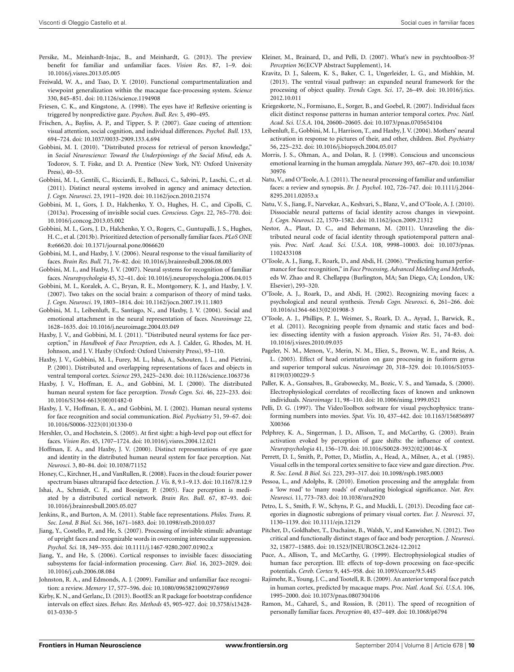- <span id="page-10-23"></span>Persike, M., Meinhardt-Injac, B., and Meinhardt, G. (2013). The preview benefit for familiar and unfamiliar faces. *Vision Res*. 87, 1–9. doi: 10.1016/j.visres.2013.05.005
- <span id="page-10-36"></span>Freiwald, W. A., and Tsao, D. Y. (2010). Functional compartmentalization and viewpoint generalization within the macaque face-processing system. *Science* 330, 845–851. doi: 10.1126/science.1194908
- <span id="page-10-28"></span>Friesen, C. K., and Kingstone, A. (1998). The eyes have it! Reflexive orienting is triggered by nonpredictive gaze. *Psychon. Bull. Rev.* 5, 490–495.
- <span id="page-10-29"></span>Frischen, A., Bayliss, A. P., and Tipper, S. P. (2007). Gaze cueing of attention: visual attention, social cognition, and individual differences. *Psychol. Bull.* 133, 694–724. doi: 10.1037/0033-2909.133.4.694
- <span id="page-10-4"></span>Gobbini, M. I. (2010). "Distributed process for retrieval of person knowledge," in *Social Neuroscience: Toward the Underpinnings of the Social Mind*, eds A. Todorov, S. T. Fiske, and D. A. Prentice (New York, NY: Oxford University Press), 40–53.
- <span id="page-10-16"></span>Gobbini, M. I., Gentili, C., Ricciardi, E., Bellucci, C., Salvini, P., Laschi, C., et al. (2011). Distinct neural systems involved in agency and animacy detection. *J. Cogn. Neurosci*. 23, 1911–1920. doi: 10.1162/jocn.2010.21574
- <span id="page-10-7"></span>Gobbini, M. I., Gors, J. D., Halchenko, Y. O., Hughes, H. C., and Cipolli, C. (2013a). Processing of invisible social cues. *Conscious. Cogn*. 22, 765–770. doi: 10.1016/j.concog.2013.05.002
- <span id="page-10-22"></span>Gobbini, M. I., Gors, J. D., Halchenko, Y. O., Rogers, C., Guntupalli, J. S., Hughes, H. C., et al. (2013b). Prioritized detection of personally familiar faces. *PLoS ONE* 8:e66620. doi: 10.1371/journal.pone.0066620
- <span id="page-10-2"></span>Gobbini, M. I., and Haxby, J. V. (2006). Neural response to the visual familiarity of faces. *Brain Res. Bull.* 71, 76–82. doi: 10.1016/j.brainresbull.2006.08.003
- <span id="page-10-3"></span>Gobbini, M. I., and Haxby, J. V. (2007). Neural systems for recognition of familiar faces. *Neuropsychologia* 45, 32–41. doi: 10.1016/j.neuropsychologia.2006.04.015
- <span id="page-10-15"></span>Gobbini, M. I., Koralek, A. C., Bryan, R. E., Montgomery, K. J., and Haxby, J. V. (2007). Two takes on the social brain: a comparison of theory of mind tasks. *J. Cogn. Neurosci*. 19, 1803–1814. doi: 10.1162/jocn.2007.19.11.1803
- <span id="page-10-0"></span>Gobbini, M. I., Leibenluft, E., Santiago, N., and Haxby, J. V. (2004). Social and emotional attachment in the neural representation of faces. *Neuroimage* 22, 1628–1635. doi: 10.1016/j.neuroimage.2004.03.049
- <span id="page-10-35"></span>Haxby, J. V., and Gobbini, M. I. (2011). "Distributed neural systems for face perception," in *Handbook of Face Perception*, eds A. J. Calder, G. Rhodes, M. H. Johnson, and J. V. Haxby (Oxford: Oxford University Press), 93–110.
- <span id="page-10-46"></span>Haxby, J. V., Gobbini, M. I., Furey, M. L., Ishai, A., Schouten, J. L., and Pietrini, P. (2001). Distributed and overlapping representations of faces and objects in ventral temporal cortex. *Science* 293, 2425–2430. doi: 10.1126/science.1063736
- <span id="page-10-12"></span>Haxby, J. V., Hoffman, E. A., and Gobbini, M. I. (2000). The distributed human neural system for face perception. *Trends Cogn. Sci*. 46, 223–233. doi: 10.1016/S1364-6613(00)01482-0
- <span id="page-10-13"></span>Haxby, J. V., Hoffman, E. A., and Gobbini, M. I. (2002). Human neural systems for face recognition and social communication. *Biol. Psychiatry* 51, 59–67. doi: 10.1016/S0006-3223(01)01330-0
- <span id="page-10-10"></span>Hershler, O., and Hochstein, S. (2005). At first sight: a high-level pop out effect for faces. *Vision Res*. 45, 1707–1724. doi: 10.1016/j.visres.2004.12.021
- <span id="page-10-19"></span>Hoffman, E. A., and Haxby, J. V. (2000). Distinct representations of eye gaze and identity in the distributed human neural system for face perception. *Nat. Neurosci*. 3, 80–84. doi: 10.1038/71152
- <span id="page-10-44"></span>Honey, C., Kirchner, H., and VanRullen, R. (2008). Faces in the cloud: fourier power spectrum biases ultrarapid face detection. *J. Vis.* 8, 9.1–9.13. doi: 10.1167/8.12.9
- <span id="page-10-34"></span>Ishai, A., Schmidt, C. F., and Boesiger, P. (2005). Face perception is mediated by a distributed cortical network. *Brain Res. Bull*. 67, 87–93. doi: 10.1016/j.brainresbull.2005.05.027
- <span id="page-10-27"></span>Jenkins, R., and Burton, A. M. (2011). Stable face representations. *Philos. Trans. R. Soc. Lond. B Biol. Sci*. 366, 1671–1683. doi: 10.1098/rstb.2010.037
- <span id="page-10-5"></span>Jiang, Y., Costello, P., and He, S. (2007). Processing of invisible stimuli: advantage of upright faces and recognizable words in overcoming interocular suppression. *Psychol. Sci.* 18, 349–355. doi: 10.1111/j.1467-9280.2007.01902.x
- <span id="page-10-6"></span>Jiang, Y., and He, S. (2006). Cortical responses to invisible faces: dissociating subsystems for facial-information processing. *Curr. Biol.* 16, 2023–2029. doi: 10.1016/j.cub.2006.08.084
- <span id="page-10-32"></span>Johnston, R. A., and Edmonds, A. J. (2009). Familiar and unfamiliar face recognition: a review. *Memory* 17, 577–596. doi: 10.1080/09658210902976969
- <span id="page-10-26"></span>Kirby, K. N., and Gerlanc, D. (2013). BootES: an R package for bootstrap confidence intervals on effect sizes. *Behav. Res. Methods* 45, 905–927. doi: 10.3758/s13428- 013-0330-5
- <span id="page-10-25"></span>Kleiner, M., Brainard, D., and Pelli, D. (2007). What's new in psychtoolbox-3? *Perception* 36(ECVP Abstract Supplement), 14.
- <span id="page-10-43"></span>Kravitz, D. J., Saleem, K. S., Baker, C. I., Ungerleider, L. G., and Mishkin, M. (2013). The ventral visual pathway: an expanded neural framework for the processing of object quality. *Trends Cogn. Sci*. 17, 26–49. doi: 10.1016/j.tics. 2012.10.011
- <span id="page-10-39"></span>Kriegeskorte, N., Formisano, E., Sorger, B., and Goebel, R. (2007). Individual faces elicit distinct response patterns in human anterior temporal cortex. *Proc. Natl. Acad. Sci. U.S.A*. 104, 20600–20605. doi: 10.1073/pnas.0705654104
- <span id="page-10-1"></span>Leibenluft, E., Gobbini, M. I., Harrison, T., and Haxby, J. V. (2004). Mothers' neural activation in response to pictures of their, and other, children. *Biol. Psychiatry* 56, 225–232. doi: 10.1016/j.biopsych.2004.05.017
- <span id="page-10-8"></span>Morris, J. S., Ohman, A., and Dolan, R. J. (1998). Conscious and unconscious emotional learning in the human amygdala. *Nature* 393, 467–470. doi: 10.1038/ 30976
- <span id="page-10-37"></span>Natu, V., and O'Toole, A. J. (2011). The neural processing of familiar and unfamiliar faces: a review and synopsis. *Br. J. Psychol*. 102, 726–747. doi: 10.1111/j.2044- 8295.2011.02053.x
- <span id="page-10-40"></span>Natu, V. S., Jiang, F., Narvekar, A., Keshvari, S., Blanz, V., and O'Toole, A. J. (2010). Dissociable neural patterns of facial identity across changes in viewpoint. *J. Cogn. Neurosci*. 22, 1570–1582. doi: 10.1162/jocn.2009.21312
- <span id="page-10-41"></span>Nestor, A., Plaut, D. C., and Behrmann, M. (2011). Unraveling the distributed neural code of facial identity through spatiotemporal pattern analysis. *Proc. Natl. Acad. Sci. U.S.A*. 108, 9998–10003. doi: 10.1073/pnas. 1102433108
- <span id="page-10-31"></span>O'Toole, A. J., Jiang, F., Roark, D., and Abdi, H. (2006). "Predicting human performance for face recognition," in *Face Processing, Advanced Modeling and Methods*, eds W. Zhao and R. Chellappa (Burlington, MA; San Diego, CA; London, UK: Elsevier), 293–320.
- <span id="page-10-14"></span>O'Toole, A. J., Roark, D., and Abdi, H. (2002). Recognizing moving faces: a psychological and neural synthesis. *Trends Cogn. Neurosci*. 6, 261–266. doi: 10.1016/s1364-6613(02)01908-3
- <span id="page-10-33"></span>O'Toole, A. J., Phillips, P. J., Weimer, S., Roark, D. A., Ayyad, J., Barwick, R., et al. (2011). Recognizing people from dynamic and static faces and bodies: dissecting identity with a fusion approach. *Vision Res*. 51, 74–83. doi: 10.1016/j.visres.2010.09.035
- <span id="page-10-20"></span>Pageler, N. M., Menon, V., Merin, N. M., Eliez, S., Brown, W. E., and Reiss, A. L. (2003). Effect of head orientation on gaze processing in fusiform gyrus and superior temporal sulcus. *Neuroimage* 20, 318–329. doi: 10.1016/S1053- 8119(03)00229-5
- <span id="page-10-42"></span>Paller, K. A., Gonsalves, B., Grabowecky, M., Bozic, V. S., and Yamada, S. (2000). Electrophysiological correlates of recollecting faces of known and unknown individuals. *Neuroimage* 11, 98–110. doi: 10.1006/nimg.1999.0521
- <span id="page-10-24"></span>Pelli, D. G. (1997). The VideoToolbox software for visual psychophysics: transforming numbers into movies. *Spat. Vis.* 10, 437–442. doi: 10.1163/156856897 X00366
- <span id="page-10-21"></span>Pelphrey, K. A., Singerman, J. D., Allison, T., and McCarthy, G. (2003). Brain activation evoked by perception of gaze shifts: the influence of context. *Neuropsychologia* 41, 156–170. doi: 10.1016/S0028-3932(02)00146-X
- <span id="page-10-18"></span>Perrett, D. I., Smith, P., Potter, D., Mistlin, A., Head, A., Milner, A., et al. (1985). Visual cells in the temporal cortex sensitive to face view and gaze direction. *Proc. R. Soc. Lond. B Biol. Sci.* 223, 293–317. doi: 10.1098/rspb.1985.0003
- <span id="page-10-9"></span>Pessoa, L., and Adolphs, R. (2010). Emotion processing and the amygdala: from a 'low road' to 'many roads' of evaluating biological significance. *Nat. Rev. Neurosci*. 11, 773–783. doi: 10.1038/nrn2920
- <span id="page-10-45"></span>Petro, L. S., Smith, F. W., Schyns, P. G., and Muckli, L. (2013). Decoding face categories in diagnostic subregions of primary visual cortex. *Eur. J. Neurosci*. 37, 1130–1139. doi: 10.1111/ejn.12129
- <span id="page-10-17"></span>Pitcher, D., Goldhaber, T., Duchaine, B., Walsh, V., and Kanwisher, N. (2012). Two critical and functionally distinct stages of face and body perception. *J. Neurosci*. 32, 15877–15885. doi: 10.1523/JNEUROSCI.2624-12.2012
- <span id="page-10-11"></span>Puce, A., Allison, T., and McCarthy, G. (1999). Electrophysiological studies of human face perception. III: effects of top-down processing on face-specific potentials. *Cereb. Cortex* 9, 445–958. doi: 10.1093/cercor/9.5.445
- <span id="page-10-38"></span>Rajimehr, R., Young, J. C., and Tootell, R. B. (2009). An anterior temporal face patch in human cortex, predicted by macaque maps. *Proc. Natl. Acad. Sci. U.S.A*. 106, 1995–2000. doi: 10.1073/pnas.0807304106
- <span id="page-10-30"></span>Ramon, M., Caharel, S., and Rossion, B. (2011). The speed of recognition of personally familiar faces. *Perception* 40, 437–449. doi: 10.1068/p6794